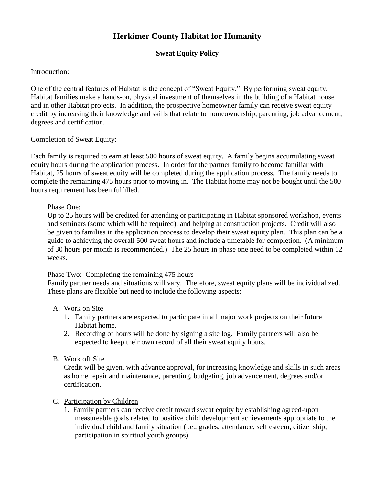# **Herkimer County Habitat for Humanity**

# **Sweat Equity Policy**

## Introduction:

One of the central features of Habitat is the concept of "Sweat Equity." By performing sweat equity, Habitat families make a hands-on, physical investment of themselves in the building of a Habitat house and in other Habitat projects. In addition, the prospective homeowner family can receive sweat equity credit by increasing their knowledge and skills that relate to homeownership, parenting, job advancement, degrees and certification.

## Completion of Sweat Equity:

Each family is required to earn at least 500 hours of sweat equity. A family begins accumulating sweat equity hours during the application process. In order for the partner family to become familiar with Habitat, 25 hours of sweat equity will be completed during the application process. The family needs to complete the remaining 475 hours prior to moving in. The Habitat home may not be bought until the 500 hours requirement has been fulfilled.

## Phase One:

Up to 25 hours will be credited for attending or participating in Habitat sponsored workshop, events and seminars (some which will be required), and helping at construction projects. Credit will also be given to families in the application process to develop their sweat equity plan. This plan can be a guide to achieving the overall 500 sweat hours and include a timetable for completion. (A minimum of 30 hours per month is recommended.) The 25 hours in phase one need to be completed within 12 weeks.

# Phase Two: Completing the remaining 475 hours

Family partner needs and situations will vary. Therefore, sweat equity plans will be individualized. These plans are flexible but need to include the following aspects:

#### A. Work on Site

- 1. Family partners are expected to participate in all major work projects on their future Habitat home.
- 2. Recording of hours will be done by signing a site log. Family partners will also be expected to keep their own record of all their sweat equity hours.
- B. Work off Site

Credit will be given, with advance approval, for increasing knowledge and skills in such areas as home repair and maintenance, parenting, budgeting, job advancement, degrees and/or certification.

#### C. Participation by Children

1. Family partners can receive credit toward sweat equity by establishing agreed-upon measureable goals related to positive child development achievements appropriate to the individual child and family situation (i.e., grades, attendance, self esteem, citizenship, participation in spiritual youth groups).